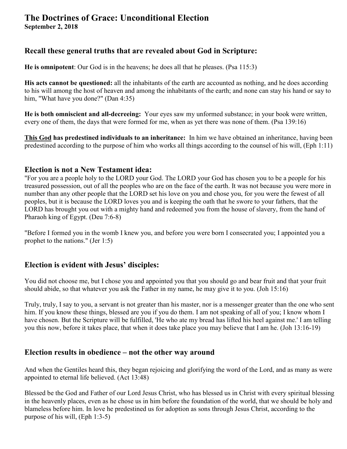#### **The Doctrines of Grace: Unconditional Election September 2, 2018**

# **Recall these general truths that are revealed about God in Scripture:**

**He is omnipotent**: Our God is in the heavens; he does all that he pleases. (Psa 115:3)

**His acts cannot be questioned:** all the inhabitants of the earth are accounted as nothing, and he does according to his will among the host of heaven and among the inhabitants of the earth; and none can stay his hand or say to him, "What have you done?" (Dan 4:35)

**He is both omniscient and all-decreeing:** Your eyes saw my unformed substance; in your book were written, every one of them, the days that were formed for me, when as yet there was none of them. (Psa 139:16)

**This God has predestined individuals to an inheritance:** In him we have obtained an inheritance, having been predestined according to the purpose of him who works all things according to the counsel of his will, (Eph 1:11)

#### **Election is not a New Testament idea:**

"For you are a people holy to the LORD your God. The LORD your God has chosen you to be a people for his treasured possession, out of all the peoples who are on the face of the earth. It was not because you were more in number than any other people that the LORD set his love on you and chose you, for you were the fewest of all peoples, but it is because the LORD loves you and is keeping the oath that he swore to your fathers, that the LORD has brought you out with a mighty hand and redeemed you from the house of slavery, from the hand of Pharaoh king of Egypt. (Deu 7:6-8)

"Before I formed you in the womb I knew you, and before you were born I consecrated you; I appointed you a prophet to the nations." (Jer 1:5)

### **Election is evident with Jesus' disciples:**

You did not choose me, but I chose you and appointed you that you should go and bear fruit and that your fruit should abide, so that whatever you ask the Father in my name, he may give it to you. (Joh 15:16)

Truly, truly, I say to you, a servant is not greater than his master, nor is a messenger greater than the one who sent him. If you know these things, blessed are you if you do them. I am not speaking of all of you; I know whom I have chosen. But the Scripture will be fulfilled, 'He who ate my bread has lifted his heel against me.' I am telling you this now, before it takes place, that when it does take place you may believe that I am he. (Joh 13:16-19)

### **Election results in obedience – not the other way around**

And when the Gentiles heard this, they began rejoicing and glorifying the word of the Lord, and as many as were appointed to eternal life believed. (Act 13:48)

Blessed be the God and Father of our Lord Jesus Christ, who has blessed us in Christ with every spiritual blessing in the heavenly places, even as he chose us in him before the foundation of the world, that we should be holy and blameless before him. In love he predestined us for adoption as sons through Jesus Christ, according to the purpose of his will, (Eph 1:3-5)